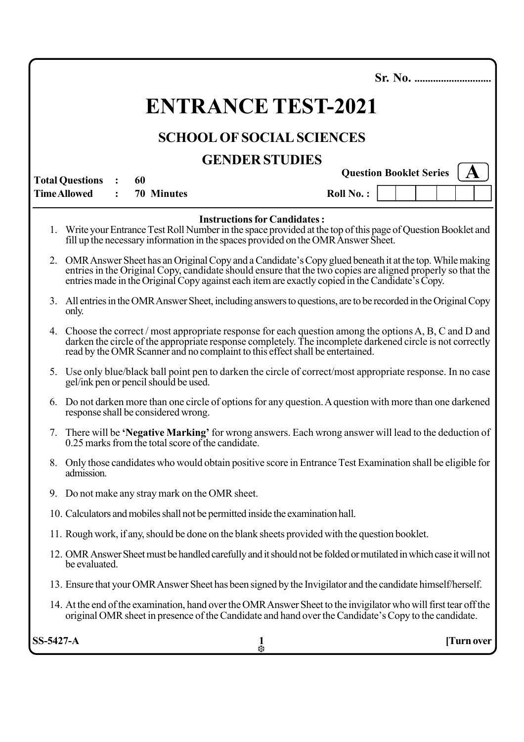|                                                                | <b>ENTRANCE TEST-2021</b>                                                                                                                                                                                                                                                                                                  |  |                   |  |  |  |        |  |                                     |  |           |  |  |  |  |            |
|----------------------------------------------------------------|----------------------------------------------------------------------------------------------------------------------------------------------------------------------------------------------------------------------------------------------------------------------------------------------------------------------------|--|-------------------|--|--|--|--------|--|-------------------------------------|--|-----------|--|--|--|--|------------|
|                                                                | <b>SCHOOL OF SOCIAL SCIENCES</b>                                                                                                                                                                                                                                                                                           |  |                   |  |  |  |        |  |                                     |  |           |  |  |  |  |            |
| <b>GENDER STUDIES</b>                                          |                                                                                                                                                                                                                                                                                                                            |  |                   |  |  |  |        |  |                                     |  |           |  |  |  |  |            |
| <b>Question Booklet Series</b><br><b>Total Questions</b><br>60 |                                                                                                                                                                                                                                                                                                                            |  |                   |  |  |  |        |  |                                     |  |           |  |  |  |  |            |
|                                                                | <b>Time Allowed</b>                                                                                                                                                                                                                                                                                                        |  | <b>70 Minutes</b> |  |  |  |        |  |                                     |  | Roll No.: |  |  |  |  |            |
|                                                                | Write your Entrance Test Roll Number in the space provided at the top of this page of Question Booklet and<br>fill up the necessary information in the spaces provided on the OMR Answer Sheet.                                                                                                                            |  |                   |  |  |  |        |  | <b>Instructions for Candidates:</b> |  |           |  |  |  |  |            |
|                                                                | 2. OMR Answer Sheet has an Original Copy and a Candidate's Copy glued beneath it at the top. While making<br>entries in the Original Copy, candidate should ensure that the two copies are aligned properly so that the<br>entries made in the Original Copy against each item are exactly copied in the Candidate's Copy. |  |                   |  |  |  |        |  |                                     |  |           |  |  |  |  |            |
|                                                                | 3. All entries in the OMR Answer Sheet, including answers to questions, are to be recorded in the Original Copy<br>only.                                                                                                                                                                                                   |  |                   |  |  |  |        |  |                                     |  |           |  |  |  |  |            |
|                                                                | 4. Choose the correct / most appropriate response for each question among the options A, B, C and D and<br>darken the circle of the appropriate response completely. The incomplete darkened circle is not correctly<br>read by the OMR Scanner and no complaint to this effect shall be entertained.                      |  |                   |  |  |  |        |  |                                     |  |           |  |  |  |  |            |
| 5.                                                             | Use only blue/black ball point pen to darken the circle of correct/most appropriate response. In no case<br>gel/ink pen or pencil should be used.                                                                                                                                                                          |  |                   |  |  |  |        |  |                                     |  |           |  |  |  |  |            |
|                                                                | 6. Do not darken more than one circle of options for any question. A question with more than one darkened<br>response shall be considered wrong.                                                                                                                                                                           |  |                   |  |  |  |        |  |                                     |  |           |  |  |  |  |            |
|                                                                | 7. There will be 'Negative Marking' for wrong answers. Each wrong answer will lead to the deduction of<br>0.25 marks from the total score of the candidate.                                                                                                                                                                |  |                   |  |  |  |        |  |                                     |  |           |  |  |  |  |            |
|                                                                | 8. Only those candidates who would obtain positive score in Entrance Test Examination shall be eligible for<br>admission.                                                                                                                                                                                                  |  |                   |  |  |  |        |  |                                     |  |           |  |  |  |  |            |
| 9.                                                             | Do not make any stray mark on the OMR sheet.                                                                                                                                                                                                                                                                               |  |                   |  |  |  |        |  |                                     |  |           |  |  |  |  |            |
|                                                                | 10. Calculators and mobiles shall not be permitted inside the examination hall.                                                                                                                                                                                                                                            |  |                   |  |  |  |        |  |                                     |  |           |  |  |  |  |            |
|                                                                | 11. Rough work, if any, should be done on the blank sheets provided with the question booklet.                                                                                                                                                                                                                             |  |                   |  |  |  |        |  |                                     |  |           |  |  |  |  |            |
|                                                                | 12. OMR Answer Sheet must be handled carefully and it should not be folded or mutilated in which case it will not<br>be evaluated.                                                                                                                                                                                         |  |                   |  |  |  |        |  |                                     |  |           |  |  |  |  |            |
|                                                                | 13. Ensure that your OMR Answer Sheet has been signed by the Invigilator and the candidate himself/herself.                                                                                                                                                                                                                |  |                   |  |  |  |        |  |                                     |  |           |  |  |  |  |            |
|                                                                | 14. At the end of the examination, hand over the OMR Answer Sheet to the invigilator who will first tear off the<br>original OMR sheet in presence of the Candidate and hand over the Candidate's Copy to the candidate.                                                                                                   |  |                   |  |  |  |        |  |                                     |  |           |  |  |  |  |            |
| SS-5427-A                                                      |                                                                                                                                                                                                                                                                                                                            |  |                   |  |  |  | 1<br>柴 |  |                                     |  |           |  |  |  |  | [Turn over |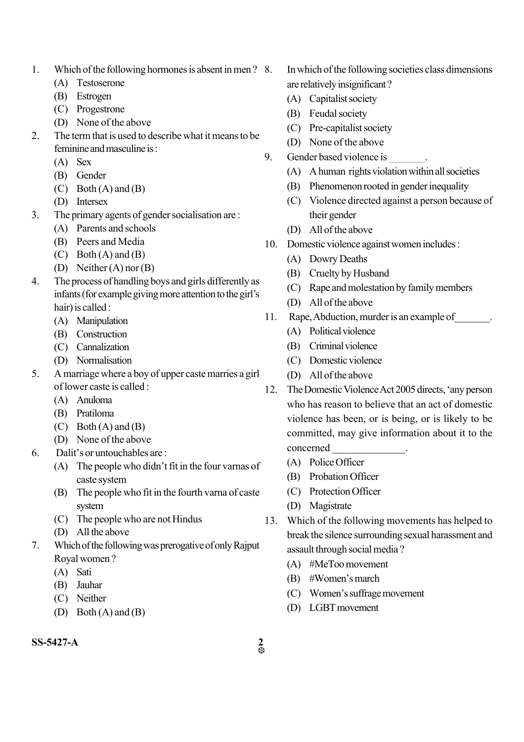- 1. Which of the following hormones is absent in men ?
	- (A) Testoserone
	- (B) Estrogen
	- (C) Progestrone
	- (D) None of the above
- 2. The term that is used to describe what it means to be feminine and masculine is :
	- (A) Sex
	- (B) Gender
	- $(C)$  Both  $(A)$  and  $(B)$
	- (D) Intersex
- 3. The primary agents of gender socialisation are :
	- (A) Parents and schools
	- (B) Peers and Media
	- $(C)$  Both  $(A)$  and  $(B)$
	- (D) Neither (A) nor (B)
- 4. The process of handling boys and girls differently as infants (for example giving more attention to the girl's hair) is called :
	- (A) Manipulation
	- (B) Construction
	- (C) Cannalization
	- (D) Normalisation
- 5. A marriage where a boy of upper caste marries a girl of lower caste is called :
	- (A) Anuloma
	- (B) Pratiloma
	- $(C)$  Both  $(A)$  and  $(B)$
	- (D) None of the above
- 6. Dalit's or untouchables are :
	- (A) The people who didn't fit in the four varnas of caste system
	- (B) The people who fit in the fourth varna of caste system
	- (C) The people who are not Hindus
	- (D) All the above
- 7. Which of the following was prerogative of only Rajput Royal women ?
	- (A) Sati
	- (B) Jauhar
	- (C) Neither
	- (D) Both (A) and (B)
- In which of the following societies class dimensions are relatively insignificant ?
	- (A) Capitalist society
	- (B) Feudal society
	- (C) Pre-capitalist society
	- (D) None of the above
- 9. Gender based violence is \_\_\_\_\_\_\_.
	- (A) A human rights violation within all societies
	- (B) Phenomenon rooted in gender inequality
	- (C) Violence directed against a person because of their gender
	- (D) All of the above
- 10. Domestic violence against women includes :
	- (A) Dowry Deaths
	- (B) Cruelty by Husband
	- (C) Rape and molestation by family members
	- (D) All of the above
- 11. Rape, Abduction, murder is an example of\_\_\_\_\_\_\_.
	- (A) Political violence
	- (B) Criminal violence
	- (C) Domestic violence
	- (D) All of the above
- 12. The Domestic Violence Act 2005 directs, 'any person who has reason to believe that an act of domestic violence has been, or is being, or is likely to be committed, may give information about it to the concerned \_\_\_\_\_\_\_\_\_\_\_\_\_\_.
	- (A) Police Officer
	- (B) Probation Officer
	- (C) Protection Officer
	- (D) Magistrate
- 13. Which of the following movements has helped to break the silence surrounding sexual harassment and assault through social media ?
	- (A) #MeToo movement
	- (B) #Women's march
	- (C) Women's suffrage movement
	- (D) LGBT movement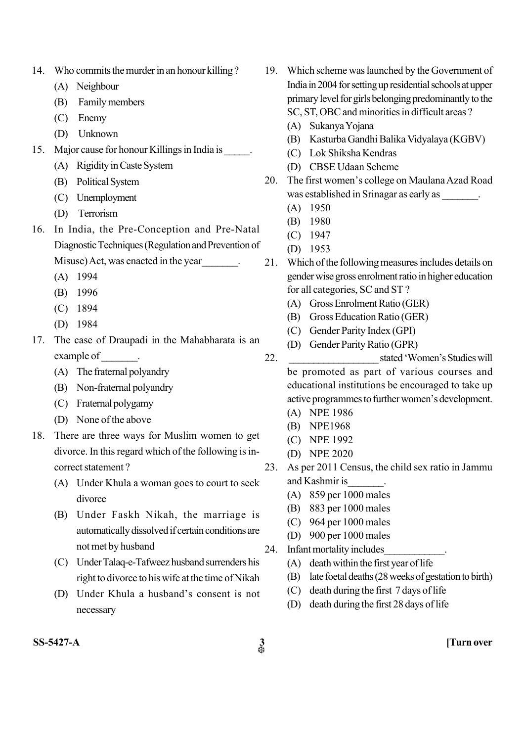|  | 14. Who commits the murder in an honour killing? |  |  |  |  |
|--|--------------------------------------------------|--|--|--|--|
|--|--------------------------------------------------|--|--|--|--|

- (A) Neighbour
- (B) Family members
- (C) Enemy
- (D) Unknown
- 15. Major cause for honour Killings in India is \_\_\_\_\_.
	- (A) Rigidity in Caste System
	- (B) Political System
	- (C) Unemployment
	- (D) Terrorism
- 16. In India, the Pre-Conception and Pre-Natal Diagnostic Techniques (Regulation and Prevention of Misuse) Act, was enacted in the year\_\_\_\_\_\_\_.
	- (A) 1994
	- (B) 1996
	- (C) 1894
	- (D) 1984
- 17. The case of Draupadi in the Mahabharata is an example of \_\_\_\_\_\_\_\_.
	- (A) The fraternal polyandry
	- (B) Non-fraternal polyandry
	- (C) Fraternal polygamy
	- (D) None of the above
- 18. There are three ways for Muslim women to get divorce. In this regard which of the following is incorrect statement ?
	- (A) Under Khula a woman goes to court to seek divorce
	- (B) Under Faskh Nikah, the marriage is automatically dissolved if certain conditions are not met by husband
	- (C) Under Talaq-e-Tafweez husband surrenders his right to divorce to his wife at the time of Nikah
	- (D) Under Khula a husband's consent is not necessary
- 19. Which scheme was launched by the Government of India in 2004 for setting up residential schools at upper primary level for girls belonging predominantly to the SC, ST, OBC and minorities in difficult areas ?
	- (A) Sukanya Yojana
	- (B) Kasturba Gandhi Balika Vidyalaya (KGBV)
	- (C) Lok Shiksha Kendras
	- (D) CBSE Udaan Scheme
- 20. The first women's college on Maulana Azad Road was established in Srinagar as early as \_\_\_\_\_\_\_.
	- (A) 1950
	- (B) 1980
	- (C) 1947
	- (D) 1953
- 21. Which of the following measures includes details on gender wise gross enrolment ratio in higher education for all categories, SC and ST ?
	- (A) Gross Enrolment Ratio (GER)
	- (B) Gross Education Ratio (GER)
	- (C) Gender Parity Index (GPI)
	- (D) Gender Parity Ratio (GPR)
- 22. \_\_\_\_\_\_\_\_\_\_\_\_\_\_\_\_\_\_ stated 'Women's Studies will be promoted as part of various courses and educational institutions be encouraged to take up active programmes to further women's development.
	- (A) NPE 1986
	- (B) NPE1968
	- (C) NPE 1992
	- (D) NPE 2020
- 23. As per 2011 Census, the child sex ratio in Jammu and Kashmir is
	- (A) 859 per 1000 males
	- (B) 883 per 1000 males
	- (C) 964 per 1000 males
	- (D) 900 per 1000 males
- 24. Infant mortality includes
	- (A) death within the first year of life
	- (B) late foetal deaths (28 weeks of gestation to birth)
	- (C) death during the first 7 days of life
	- (D) death during the first 28 days of life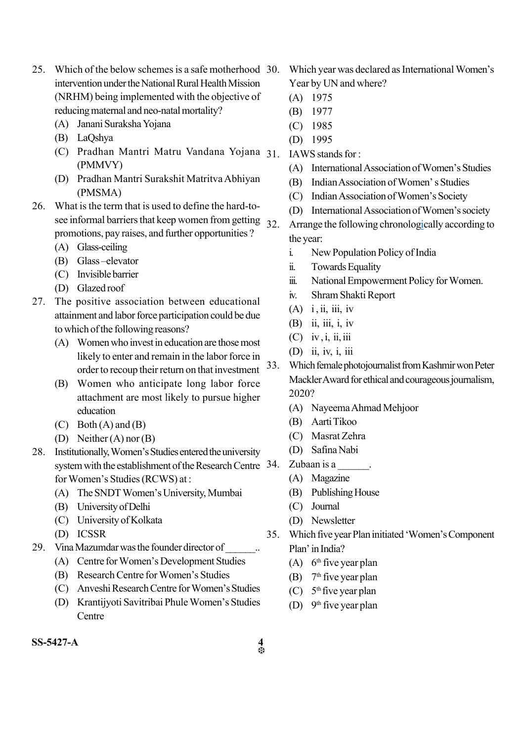- 25. Which of the below schemes is a safe motherhood 30. intervention under the National Rural Health Mission (NRHM) being implemented with the objective of reducing maternal and neo-natal mortality?
	- (A) Janani Suraksha Yojana
	- (B) LaQshya
	- (C) Pradhan Mantri Matru Vandana Yojana (PMMVY)
	- (D) Pradhan Mantri Surakshit Matritva Abhiyan (PMSMA)
- 26. What is the term that is used to define the hard-tosee informal barriers that keep women from getting  $32$ promotions, pay raises, and further opportunities ?
	- (A) Glass-ceiling
	- (B) Glass –elevator
	- (C) Invisible barrier
	- (D) Glazed roof
- 27. The positive association between educational attainment and labor force participation could be due to which of the following reasons?
	- (A) Women who invest in education are those most likely to enter and remain in the labor force in order to recoup their return on that investment
	- (B) Women who anticipate long labor force attachment are most likely to pursue higher education
	- $(C)$  Both  $(A)$  and  $(B)$
	- (D) Neither (A) nor (B)
- 28. Institutionally, Women's Studies entered the university system with the establishment of the Research Centre 34. for Women's Studies (RCWS) at :
	- (A) The SNDT Women's University, Mumbai
	- (B) University of Delhi
	- (C) University of Kolkata
	- (D) ICSSR
- 29. Vina Mazumdar was the founder director of
	- (A) Centre for Women's Development Studies
	- (B) Research Centre for Women's Studies
	- (C) Anveshi Research Centre for Women's Studies
	- (D) Krantijyoti Savitribai Phule Women's Studies Centre
- Which year was declared as International Women's Year by UN and where?
	- (A) 1975
	- (B) 1977
	- (C) 1985
	- (D) 1995
- IAWS stands for :
	- (A) International Association of Women's Studies
	- (B) Indian Association of Women' s Studies
	- (C) Indian Association of Women's Society
	- (D) International Association of Women's society
- Arrange the following chronologically according to the year:
	- i. New Population Policy of India
	- ii. Towards Equality
	- iii. National Empowerment Policy for Women.
	- iv. Shram Shakti Report
	- $(A)$  i, ii, iii, iv
	- (B) ii, iii, i, iv
	- $(C)$  iv, i, ii, iii
	- (D) ii, iv, i, iii
- 33. Which female photojournalist from Kashmir won Peter Mackler Award for ethical and courageous journalism, 2020?
	- (A) Nayeema Ahmad Mehjoor
	- (B) Aarti Tikoo
	- (C) Masrat Zehra
	- (D) Safina Nabi
	- Zubaan is a \_\_\_\_\_\_.
	- (A) Magazine
	- (B) Publishing House
	- (C) Journal
	- (D) Newsletter
- 35. Which five year Plan initiated 'Women's Component Plan' in India?
	- $(A)$  6<sup>th</sup> five year plan
	- (B)  $7<sup>th</sup>$  five year plan
	- $(C)$  5<sup>th</sup> five year plan
	- (D)  $9<sup>th</sup>$  five year plan

**SS-5427-A 4**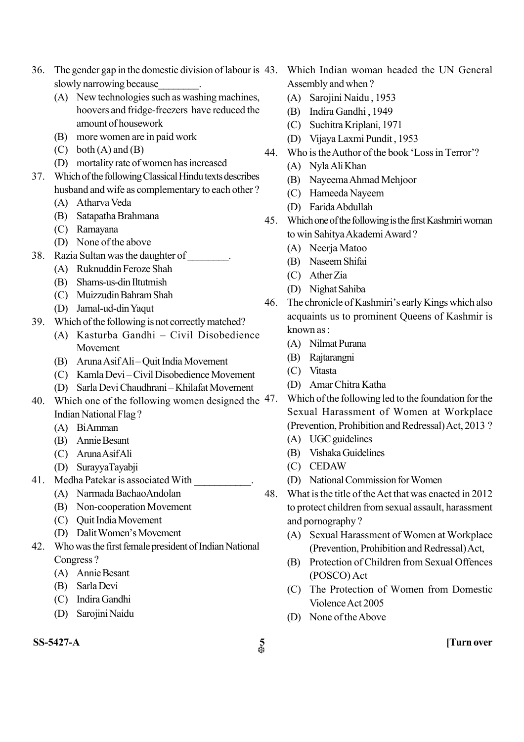- 36. The gender gap in the domestic division of labour is 43. Which Indian woman headed the UN General slowly narrowing because
	- (A) New technologies such as washing machines, hoovers and fridge-freezers have reduced the amount of housework
	- (B) more women are in paid work
	- $(C)$  both  $(A)$  and  $(B)$
	- (D) mortality rate of women has increased
- 37. Which of the following Classical Hindu texts describes husband and wife as complementary to each other ?
	- (A) Atharva Veda
	- (B) Satapatha Brahmana
	- (C) Ramayana
	- (D) None of the above
- 38. Razia Sultan was the daughter of \_\_\_\_\_\_\_\_.
	- (A) Ruknuddin Feroze Shah
	- (B) Shams-us-din Iltutmish
	- (C) Muizzudin Bahram Shah
	- (D) Jamal-ud-din Yaqut
- 39. Which of the following is not correctly matched?
	- (A) Kasturba Gandhi Civil Disobedience Movement
	- (B) Aruna Asif Ali Quit India Movement
	- (C) Kamla Devi Civil Disobedience Movement
	- (D) Sarla Devi Chaudhrani Khilafat Movement
- 40. Which one of the following women designed the  $47$ . Indian National Flag ?
	- (A) Bi Amman
	- (B) Annie Besant
	- (C) Aruna Asif Ali
	- (D) SurayyaTayabji
- 41. Medha Patekar is associated With
	- (A) Narmada BachaoAndolan
	- (B) Non-cooperation Movement
	- (C) Quit India Movement
	- (D) Dalit Women's Movement
- 42. Who was the first female president of Indian National Congress ?
	- (A) Annie Besant
	- (B) Sarla Devi
	- (C) Indira Gandhi
	- (D) Sarojini Naidu
- **SS-5427-A 5 [Turn over**
- Assembly and when ?
	- (A) Sarojini Naidu , 1953
	- (B) Indira Gandhi , 1949
	- (C) Suchitra Kriplani, 1971
	- (D) Vijaya Laxmi Pundit , 1953
- 44. Who is the Author of the book 'Loss in Terror'?
	- (A) Nyla Ali Khan
	- (B) Nayeema Ahmad Mehjoor
	- (C) Hameeda Nayeem
	- (D) Farida Abdullah
- 45. Which one of the following is the first Kashmiri woman to win Sahitya Akademi Award ?
	- (A) Neerja Matoo
	- (B) Naseem Shifai
	- (C) Ather Zia
	- (D) Nighat Sahiba
- 46. The chronicle of Kashmiri's early Kings which also acquaints us to prominent Queens of Kashmir is known as :
	- (A) Nilmat Purana
	- (B) Rajtarangni
	- (C) Vitasta
	- (D) Amar Chitra Katha
	- Which of the following led to the foundation for the Sexual Harassment of Women at Workplace (Prevention, Prohibition and Redressal)Act, 2013 ?
	- (A) UGC guidelines
	- (B) Vishaka Guidelines
	- (C) CEDAW
	- (D) National Commission for Women
- 48. What is the title of the Act that was enacted in 2012 to protect children from sexual assault, harassment and pornography ?
	- (A) Sexual Harassment of Women at Workplace (Prevention, Prohibition and Redressal) Act,
	- (B) Protection of Children from Sexual Offences (POSCO) Act
	- (C) The Protection of Women from Domestic Violence Act 2005
	- (D) None of the Above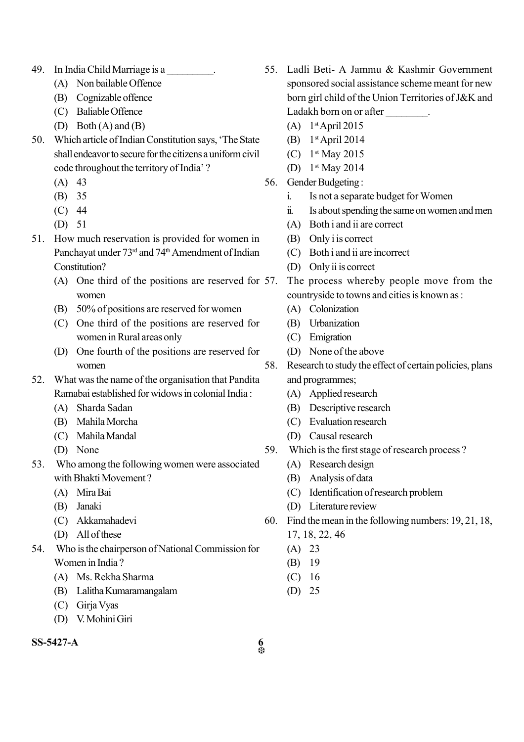- 49. In India Child Marriage is a \_\_\_\_\_\_\_\_\_.
	- (A) Non bailable Offence
	- (B) Cognizable offence
	- (C) Baliable Offence
	- (D) Both (A) and (B)
- 50. Which article of Indian Constitution says, 'The State shall endeavor to secure for the citizens a uniform civil code throughout the territory of India' ?
	- $(A)$  43
	- (B) 35
	- (C) 44
	- (D) 51
- 51. How much reservation is provided for women in Panchayat under 73<sup>rd</sup> and 74<sup>th</sup> Amendment of Indian Constitution?
	- (A) One third of the positions are reserved for 57. women
	- (B) 50% of positions are reserved for women
	- (C) One third of the positions are reserved for women in Rural areas only
	- (D) One fourth of the positions are reserved for women
- 52. What was the name of the organisation that Pandita Ramabai established for widows in colonial India :
	- (A) Sharda Sadan
	- (B) Mahila Morcha
	- (C) Mahila Mandal
	- (D) None
- 53. Who among the following women were associated with Bhakti Movement ?
	- (A) Mira Bai
	- (B) Janaki
	- (C) Akkamahadevi
	- (D) All of these
- 54. Who is the chairperson of National Commission for Women in India ?
	- (A) Ms. Rekha Sharma
	- (B) Lalitha Kumaramangalam
	- (C) Girja Vyas
	- (D) V. Mohini Giri

## **SS-5427-A 6**

- 55. Ladli Beti- A Jammu & Kashmir Government sponsored social assistance scheme meant for new born girl child of the Union Territories of J&K and Ladakh born on or after  $\qquad \qquad$ .
	- $(A)$  1<sup>st</sup> April 2015
	- (B) 1 st April 2014
	- (C) 1 st May 2015
	- (D) 1 st May 2014
- 56. Gender Budgeting :
	- i. Is not a separate budget for Women
	- ii. Is about spending the same on women and men
	- (A) Both i and ii are correct
	- (B) Only i is correct
	- (C) Both i and ii are incorrect
	- (D) Only ii is correct
	- The process whereby people move from the countryside to towns and cities is known as :
	- (A) Colonization
	- (B) Urbanization
	- (C) Emigration
	- (D) None of the above
- 58. Research to study the effect of certain policies, plans and programmes;
	- (A) Applied research
	- (B) Descriptive research
	- (C) Evaluation research
	- (D) Causal research
- 59. Which is the first stage of research process ?
	- (A) Research design
	- (B) Analysis of data
	- (C) Identification of research problem
	- (D) Literature review
- 60. Find the mean in the following numbers: 19, 21, 18, 17, 18, 22, 46
	- (A) 23
	- (B) 19
	- (C) 16
	- (D) 25
- $\frac{6}{35}$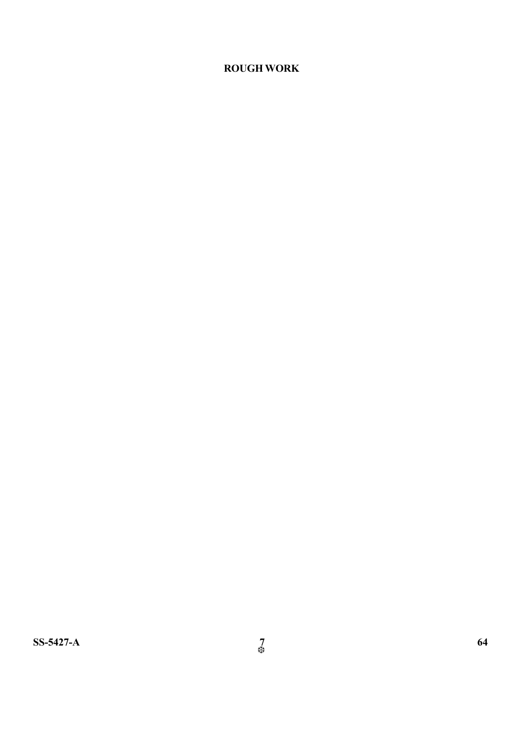# **ROUGH WORK**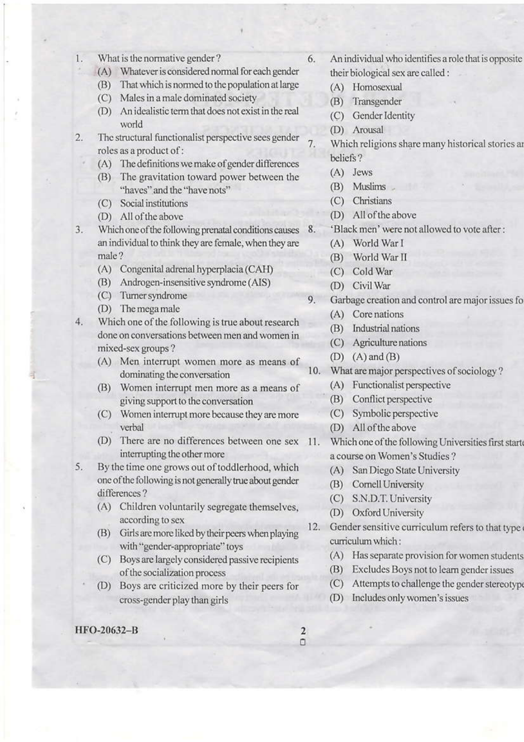- What is the normative gender? 1.
	- (A) Whatever is considered normal for each gender
	- (B) That which is normed to the population at large
	- (C) Males in a male dominated society
	- (D) An idealistic term that does not exist in the real world
- The structural functionalist perspective sees gender 2. roles as a product of:
	- (A) The definitions we make of gender differences
	- (B) The gravitation toward power between the "haves" and the "have nots"
	- (C) Social institutions
	- (D) All of the above
- Which one of the following prenatal conditions causes 3. 8. an individual to think they are female, when they are male?
	- (A) Congenital adrenal hyperplacia (CAH)
	- (B) Androgen-insensitive syndrome (AIS)
	- (C) Turner syndrome
	- (D) The mega male
- Which one of the following is true about research  $4.$ done on conversations between men and women in mixed-sex groups?
	- (A) Men interrupt women more as means of dominating the conversation
	- Women interrupt men more as a means of (B) giving support to the conversation
	- (C) Women interrupt more because they are more verbal
	- (D) There are no differences between one sex 11. interrupting the other more
- 5. By the time one grows out of toddlerhood, which one of the following is not generally true about gender differences?
	- (A) Children voluntarily segregate themselves, according to sex
	- (B) Girls are more liked by their peers when playing with "gender-appropriate" toys
	- (C) Boys are largely considered passive recipients of the socialization process
	- (D) Boys are criticized more by their peers for cross-gender play than girls
- HFO-20632-B
- An individual who identifies a role that is opposite their biological sex are called :
	- (A) Homosexual
	- (B) Transgender
	- (C) Gender Identity
	- (D) Arousal

6.

- 7. Which religions share many historical stories an beliefs?
	- $(A)$  Jews
	- (B) Muslims
	- (C) Christians
	- (D) All of the above
	- 'Black men' were not allowed to vote after :
	- (A) World War I
	- (B) World War II
	- (C) Cold War
	- (D) Civil War
- 9. Garbage creation and control are major issues fo
	- (A) Core nations
	- (B) Industrial nations
	- (C) Agriculture nations
	- $(D)$   $(A)$  and  $(B)$
- $10.$ What are major perspectives of sociology?
	- (A) Functionalist perspective
	- (B) Conflict perspective
	- (C) Symbolic perspective
	- (D) All of the above
	- Which one of the following Universities first start a course on Women's Studies?
		- (A) San Diego State University
		- (B) Cornell University
		- (C) S.N.D.T. University
		- (D) Oxford University
- Gender sensitive curriculum refers to that type 12. curriculum which:
	- (A) Has separate provision for women students
	- (B) Excludes Boys not to learn gender issues
	- (C) Attempts to challenge the gender stereotype
	- (D) Includes only women's issues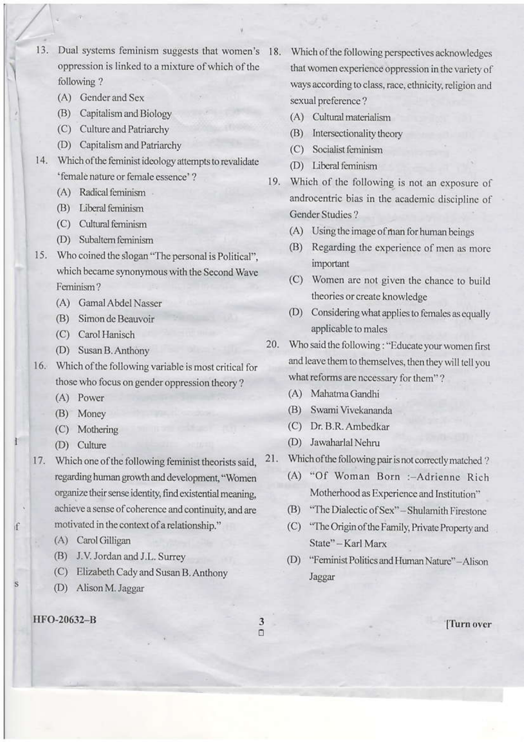13. Dual systems feminism suggests that women's oppression is linked to a mixture of which of the following?

- (A) Gender and Sex
- (B) Capitalism and Biology
- (C) Culture and Patriarchy
- (D) Capitalism and Patriarchy
- 14. Which of the feminist ideology attempts to revalidate 'female nature or female essence'?
	- (A) Radical feminism
	- (B) Liberal feminism
	- (C) Cultural feminism
	- (D) Subaltern feminism
- 15. Who coined the slogan "The personal is Political". which became synonymous with the Second Wave Feminism?
	- (A) Gamal Abdel Nasser
	- (B) Simon de Beauvoir
	- (C) Carol Hanisch
	- (D) Susan B. Anthony
- 16. Which of the following variable is most critical for those who focus on gender oppression theory?
	- (A) Power
	- (B) Money
	- (C) Mothering
	- (D) Culture
- 17. Which one of the following feminist theorists said, regarding human growth and development, "Women organize their sense identity, find existential meaning, achieve a sense of coherence and continuity, and are motivated in the context of a relationship."
	- (A) Carol Gilligan
	- (B) J.V. Jordan and J.L. Surrey
	- (C) Elizabeth Cady and Susan B. Anthony
	- (D) Alison M. Jaggar
- 18. Which of the following perspectives acknowledges that women experience oppression in the variety of ways according to class, race, ethnicity, religion and sexual preference?
	- (A) Cultural materialism
	- (B) Intersectionality theory
	- (C) Socialist feminism
	- (D) Liberal feminism
- 19. Which of the following is not an exposure of androcentric bias in the academic discipline of Gender Studies?
	- (A) Using the image of man for human beings
	- (B) Regarding the experience of men as more important
	- (C) Women are not given the chance to build theories or create knowledge
	- (D) Considering what applies to females as equally applicable to males
- 20. Who said the following: "Educate your women first and leave them to themselves, then they will tell you what reforms are necessary for them"?
	- (A) Mahatma Gandhi
	- (B) Swami Vivekananda
	- (C) Dr. B.R. Ambedkar
	- (D) Jawaharlal Nehru
- Which of the following pair is not correctly matched? 21.
	- (A) "Of Woman Born :- Adrienne Rich Motherhood as Experience and Institution"
	- (B) "The Dialectic of Sex" Shulamith Firestone
	- (C) "The Origin of the Family, Private Property and State" - Karl Marx
	- (D) "Feminist Politics and Human Nature" Alison Jaggar

HFO-20632-B

f

S

 $\overline{3}$  $\Box$ 

Turn over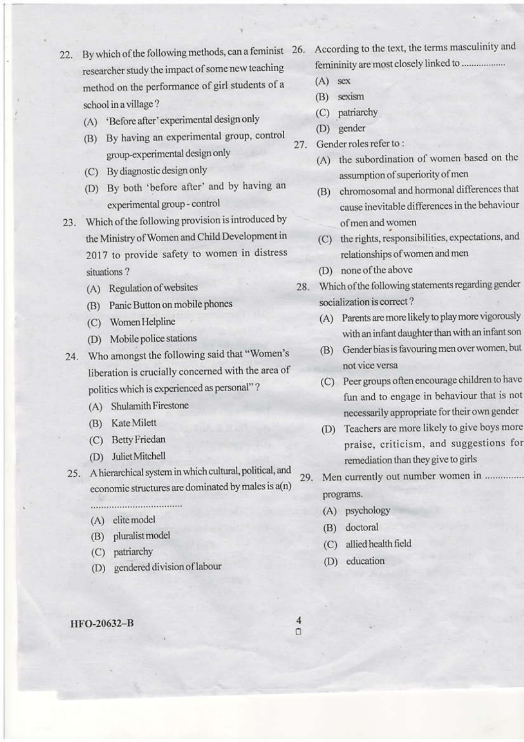- 22. By which of the following methods, can a feminist 26. researcher study the impact of some new teaching method on the performance of girl students of a school in a village?
	- (A) 'Before after' experimental design only
	- (B) By having an experimental group, control group-experimental design only
	- (C) By diagnostic design only
	- (D) By both 'before after' and by having an experimental group - control
- 23. Which of the following provision is introduced by the Ministry of Women and Child Development in 2017 to provide safety to women in distress situations?
	- (A) Regulation of websites
	- (B) Panic Button on mobile phones
	- (C) Women Helpline
	- (D) Mobile police stations
- 24. Who amongst the following said that "Women's liberation is crucially concerned with the area of politics which is experienced as personal"?
	- (A) Shulamith Firestone
	- (B) Kate Milett
	- (C) Betty Friedan
	- (D) Juliet Mitchell
- 25. A hierarchical system in which cultural, political, and economic structures are dominated by males is a(n)
	-
	- (A) elite model
	- (B) pluralist model
	- (C) patriarchy
	- (D) gendered division of labour

#### HFO-20632-B

- According to the text, the terms masculinity and femininity are most closely linked to .................
- $(A)$  sex
- (B) sexism
- (C) patriarchy
- (D) gender
- 27. Gender roles refer to:
	- (A) the subordination of women based on the assumption of superiority of men
	- (B) chromosomal and hormonal differences that cause inevitable differences in the behaviour of men and women
	- (C) the rights, responsibilities, expectations, and relationships of women and men
	- (D) none of the above
- 28. Which of the following statements regarding gender socialization is correct?
	- (A) Parents are more likely to play more vigorously with an infant daughter than with an infant son
	- (B) Gender bias is favouring men over women, but not vice versa
	- (C) Peer groups often encourage children to have fun and to engage in behaviour that is not necessarily appropriate for their own gender
	- (D) Teachers are more likely to give boys more praise, criticism, and suggestions for remediation than they give to girls
- Men currently out number women in .............. 29. programs.
	- (A) psychology
	- (B) doctoral
	- (C) allied health field
	- (D) education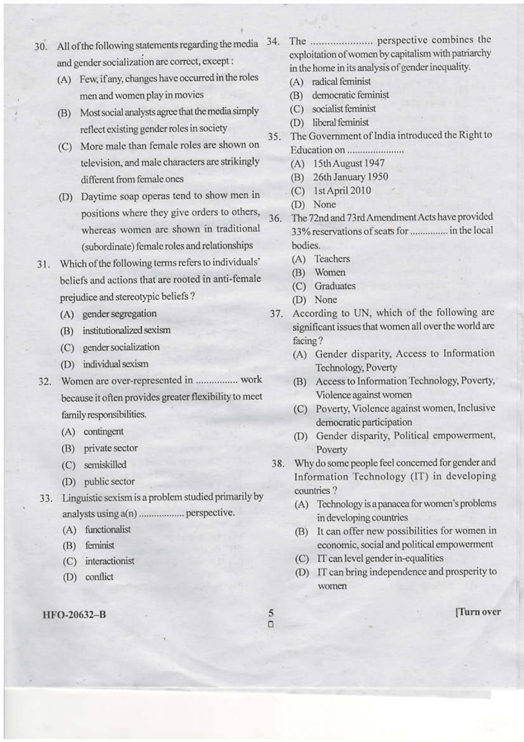- 30. All of the following statements regarding the media 34. and gender socialization are correct, except:
	- (A) Few, if any, changes have occurred in the roles men and women play in movies
	- (B) Most social analysts agree that the media simply reflect existing gender roles in society
	- (C) More male than female roles are shown on television, and male characters are strikingly different from female ones
	- (D) Daytime soap operas tend to show men in positions where they give orders to others, whereas women are shown in traditional (subordinate) female roles and relationships
- Which of the following terms refers to individuals' 31. beliefs and actions that are rooted in anti-female prejudice and stereotypic beliefs?
	- (A) gender segregation
	- (B) institutionalized sexism
	- (C) gender socialization
	- (D) individual sexism
- 32. Women are over-represented in ................. work because it often provides greater flexibility to meet family responsibilities.
	- (A) contingent
	- (B) private sector
	- (C) semiskilled
	- (D) public sector
- 33. Linguistic sexism is a problem studied primarily by analysts using a(n) .................. perspective.
	- (A) functionalist
	- (B) feminist
	- (C) interactionist
	- (D) conflict

### HFO-20632-B

- exploitation of women by capitalism with patriarchy in the home in its analysis of gender inequality.
	- (A) radical feminist
	- (B) democratic feminist
	- (C) socialist feminist
	- (D) liberal feminist
- The Government of India introduced the Right to  $35.$ 
	- (A) 15th August 1947
	- (B) 26th January 1950
	- $(C)$  1st April 2010
	- (D) None
- The 72nd and 73rd Amendment Acts have provided 36. 33% reservations of seats for ................ in the local bodies.
	- (A) Teachers
	- (B) Women
	- (C) Graduates
	- (D) None
- 37. According to UN, which of the following are significant issues that women all over the world are facing?
	- (A) Gender disparity, Access to Information Technology, Poverty
	- (B) Access to Information Technology, Poverty, Violence against women
	- (C) Poverty, Violence against women, Inclusive democratic participation
	- (D) Gender disparity, Political empowerment, Poverty
- Why do some people feel concerned for gender and 38. Information Technology (IT) in developing countries?
	- (A) Technology is a panacea for women's problems in developing countries
	- (B) It can offer new possibilities for women in economic, social and political empowerment
	- (C) IT can level gender in-equalities
	- (D) IT can bring independence and prosperity to women
- 5  $\Box$

[Turn over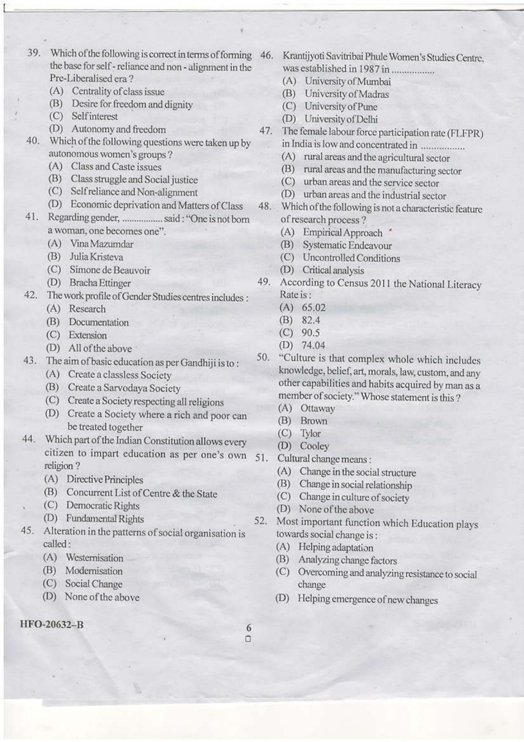- 39. Which of the following is correct in terms of forming 46. the base for self - reliance and non - alignment in the Pre-Liberalised era?
	- (A) Centrality of class issue
	- (B) Desire for freedom and dignity
	- (C) Self interest
	- (D) Autonomy and freedom
- Which of the following questions were taken up by 40. autonomous women's groups?
	- (A) Class and Caste issues
	- (B) Class struggle and Social justice
	- (C) Self reliance and Non-alignment
	- (D) Economic deprivation and Matters of Class
- Regarding gender, ................ said: "One is not born 41. a woman, one becomes one".
	- (A) Vina Mazumdar
	- (B) Julia Kristeva
	- (C) Simone de Beauvoir
	- (D) Bracha Ettinger
- The work profile of Gender Studies centres includes : 42.
	- (A) Research
	- (B) Documentation
	- (C) Extension
	- (D) All of the above
- The aim of basic education as per Gandhiji is to: 43.
	- (A) Create a classless Society
	- (B) Create a Sarvodaya Society
	- (C) Create a Society respecting all religions
	- (D) Create a Society where a rich and poor can be treated together
- 44. Which part of the Indian Constitution allows every citizen to impart education as per one's own religion?
	- (A) Directive Principles
	- (B) Concurrent List of Centre & the State
	- (C) Democratic Rights
	- (D) Fundamental Rights
- 45. Alteration in the patterns of social organisation is called:
	- (A) Westernisation
	- (B) Modernisation
	- (C) Social Change
	- (D) None of the above

## HFO-20632-B

- Krantijyoti Savitribai Phule Women's Studies Centre. was established in 1987 in ..................
	- (A) University of Mumbai
	- (B) University of Madras
	- (C) University of Pune
	- (D) University of Delhi
- The female labour force participation rate (FLFPR) 47. in India is low and concentrated in .................
	- (A) rural areas and the agricultural sector
	- (B) rural areas and the manufacturing sector
	- (C) urban areas and the service sector
	- (D) urban areas and the industrial sector
- Which of the following is not a characteristic feature 48. of research process?
	- (A) Empirical Approach \*
	- (B) Systematic Endeavour
	- (C) Uncontrolled Conditions
	- (D) Critical analysis
- According to Census 2011 the National Literacy 49. Rate is:
	- $(A) 65.02$
	- $(B)$  82.4
	- $(C)$  90.5
	- $(D)$  74.04
- "Culture is that complex whole which includes 50. knowledge, belief, art, morals, law, custom, and any other capabilities and habits acquired by man as a member of society." Whose statement is this?
	- (A) Ottaway
	- (B) Brown
	- (C) Tylor
	- (D) Cooley
- 51. Cultural change means:
	- (A) Change in the social structure
	- (B) Change in social relationship
	- (C) Change in culture of society
	- (D) None of the above
- Most important function which Education plays 52. towards social change is:
	- (A) Helping adaptation
	- (B) Analyzing change factors
	- (C) Overcoming and analyzing resistance to social change
	- (D) Helping emergence of new changes
- 6  $\Box$